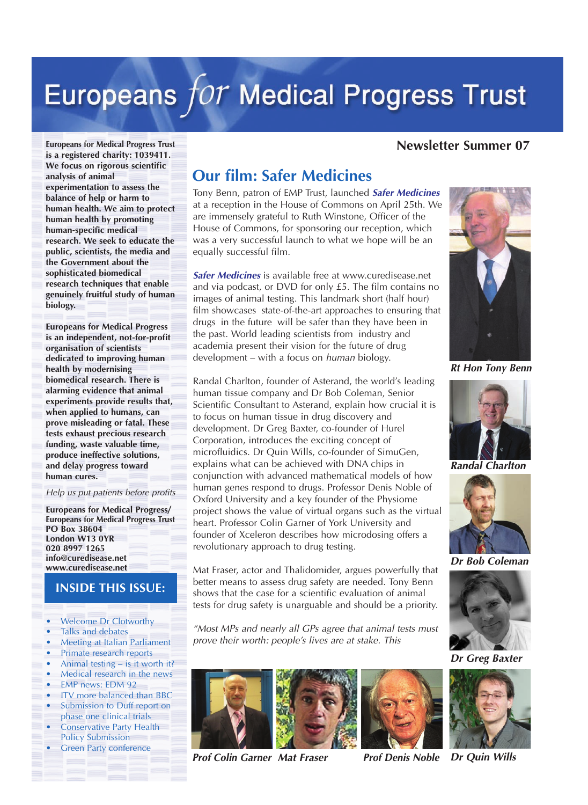# Europeans for Medical Progress Trust

#### **Newsletter Summer 07**

**Europeans for Medical Progress Trust is a registered charity: 1039411. We focus on rigorous scientific analysis of animal experimentation to assess the balance of help or harm to human health. We aim to protect human health by promoting human-specific medical research. We seek to educate the public, scientists, the media and the Government about the sophisticated biomedical research techniques that enable genuinely fruitful study of human biology.** 

**Europeans for Medical Progress is an independent, not-for-profit organisation of scientists dedicated to improving human health by modernising biomedical research. There is alarming evidence that animal experiments provide results that, when applied to humans, can prove misleading or fatal. These tests exhaust precious research funding, waste valuable time, produce ineffective solutions, and delay progress toward human cures.**

*Help us put patients before profits*

**Europeans for Medical Progress/ Europeans for Medical Progress Trust PO Box 38604 London W13 0YR 020 8997 1265 info@curedisease.net www.curedisease.net**

#### **INSIDE THIS ISSUE:**

- **•** *Welcome Dr Clotworthy*
- **•** *Talks and debates*
- **•** *Meeting at Italian Parliament*
- **•** *Primate research reports*
- **•** *Animal testing is it worth it?*
- **•** *Medical research in the news*
- **•** *EMP news: EDM 92*
- **•** *ITV more balanced than BBC* **•** *Submission to Duff report on phase one clinical trials*
- **•** *Conservative Party Health Policy Submission*
- **•** *Green Party conference*

# **Our film: Safer Medicines**

*Tony Benn, patron of EMP Trust, launched* **Safer Medicines** *at a reception in the House of Commons on April 25th. We are immensely grateful to Ruth Winstone, Officer of the House of Commons, for sponsoring our reception, which was a very successful launch to what we hope will be an equally successful film.*

**Safer Medicines** *is available free at www.curedisease.net and via podcast, or DVD for only £5. The film contains no images of animal testing. This landmark short (half hour) film showcases state-of-the-art approaches to ensuring that drugs in the future will be safer than they have been in the past. World leading scientists from industry and academia present their vision for the future of drug development – with a focus on human biology.* 

*Randal Charlton, founder of Asterand, the world's leading human tissue company and Dr Bob Coleman, Senior Scientific Consultant to Asterand, explain how crucial it is to focus on human tissue in drug discovery and development. Dr Greg Baxter, co-founder of Hurel Corporation, introduces the exciting concept of microfluidics. Dr Quin Wills, co-founder of SimuGen, explains what can be achieved with DNA chips in conjunction with advanced mathematical models of how human genes respond to drugs. Professor Denis Noble of Oxford University and a key founder of the Physiome project shows the value of virtual organs such as the virtual heart. Professor Colin Garner of York University and founder of Xceleron describes how microdosing offers a revolutionary approach to drug testing.* 

*Mat Fraser, actor and Thalidomider, argues powerfully that better means to assess drug safety are needed. Tony Benn shows that the case for a scientific evaluation of animal tests for drug safety is unarguable and should be a priority.*

*"Most MPs and nearly all GPs agree that animal tests must prove their worth: people's lives are at stake. This*





**Prof Colin Garner Mat Fraser Prof Denis Noble Dr Quin Wills**





**Rt Hon Tony Benn**



**Randal Charlton**



**Dr Bob Coleman**



**Dr Greg Baxter**



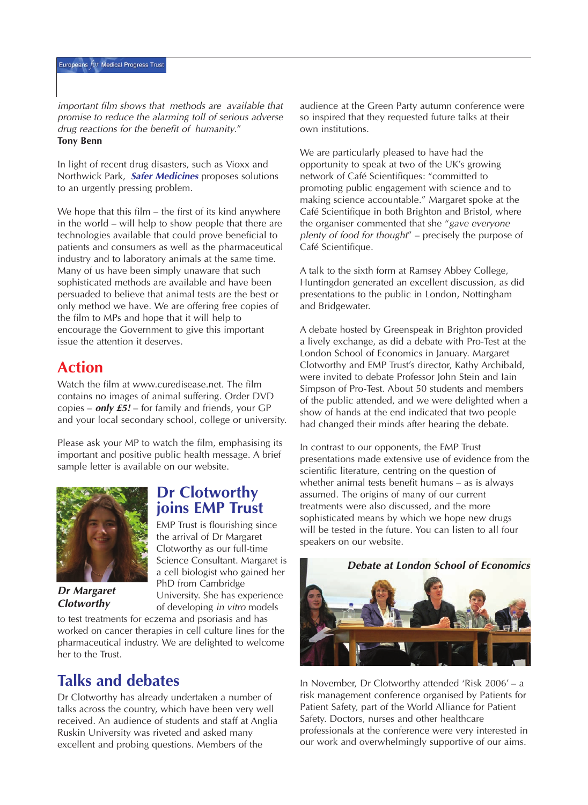*important film shows that methods are available that promise to reduce the alarming toll of serious adverse drug reactions for the benefit of humanity."* **Tony Benn** 

*In light of recent drug disasters, such as Vioxx and Northwick Park,* **Safer Medicines** *proposes solutions to an urgently pressing problem.*

*We hope that this film – the first of its kind anywhere in the world – will help to show people that there are technologies available that could prove beneficial to patients and consumers as well as the pharmaceutical industry and to laboratory animals at the same time. Many of us have been simply unaware that such sophisticated methods are available and have been persuaded to believe that animal tests are the best or only method we have. We are offering free copies of the film to MPs and hope that it will help to encourage the Government to give this important issue the attention it deserves.* 

## **Action**

*Watch the film at www.curedisease.net. The film contains no images of animal suffering. Order DVD copies –* **only £5!** *– for family and friends, your GP and your local secondary school, college or university.* 

*Please ask your MP to watch the film, emphasising its important and positive public health message. A brief sample letter is available on our website.*



**Dr Margaret Clotworthy**

## **Dr Clotworthy joins EMP Trust**

*EMP Trust is flourishing since the arrival of Dr Margaret Clotworthy as our full-time Science Consultant. Margaret is a cell biologist who gained her PhD from Cambridge University. She has experience of developing in vitro models*

*to test treatments for eczema and psoriasis and has worked on cancer therapies in cell culture lines for the pharmaceutical industry. We are delighted to welcome her to the Trust.*

## **Talks and debates**

*Dr Clotworthy has already undertaken a number of talks across the country, which have been very well received. An audience of students and staff at Anglia Ruskin University was riveted and asked many excellent and probing questions. Members of the*

*audience at the Green Party autumn conference were so inspired that they requested future talks at their own institutions.* 

*We are particularly pleased to have had the opportunity to speak at two of the UK's growing network of Café Scientifiques: "committed to promoting public engagement with science and to making science accountable." Margaret spoke at the Café Scientifique in both Brighton and Bristol, where the organiser commented that she "gave everyone <sup>p</sup>lenty of food for thought" – precisely the purpose of Café Scientifique.*

*A talk to the sixth form at Ramsey Abbey College, Huntingdon generated an excellent discussion, as did presentations to the public in London, Nottingham and Bridgewater.* 

*A debate hosted by Greenspeak in Brighton provided a lively exchange, as did a debate with Pro-Test at the London School of Economics in January. Margaret Clotworthy and EMP Trust's director, Kathy Archibald, were invited to debate Professor John Stein and Iain Simpson of Pro-Test. About 50 students and members of the public attended, and we were delighted when a show of hands at the end indicated that two people had changed their minds after hearing the debate.* 

*In contrast to our opponents, the EMP Trust presentations made extensive use of evidence from the scientific literature, centring on the question of whether animal tests benefit humans – as is always assumed. The origins of many of our current treatments were also discussed, and the more sophisticated means by which we hope new drugs will be tested in the future. You can listen to all four speakers on our website.*

**Debate at London School of Economics**



*In November, Dr Clotworthy attended 'Risk 2006' – a risk management conference organised by Patients for Patient Safety, part of the World Alliance for Patient Safety. Doctors, nurses and other healthcare professionals at the conference were very interested in our work and overwhelmingly supportive of our aims.*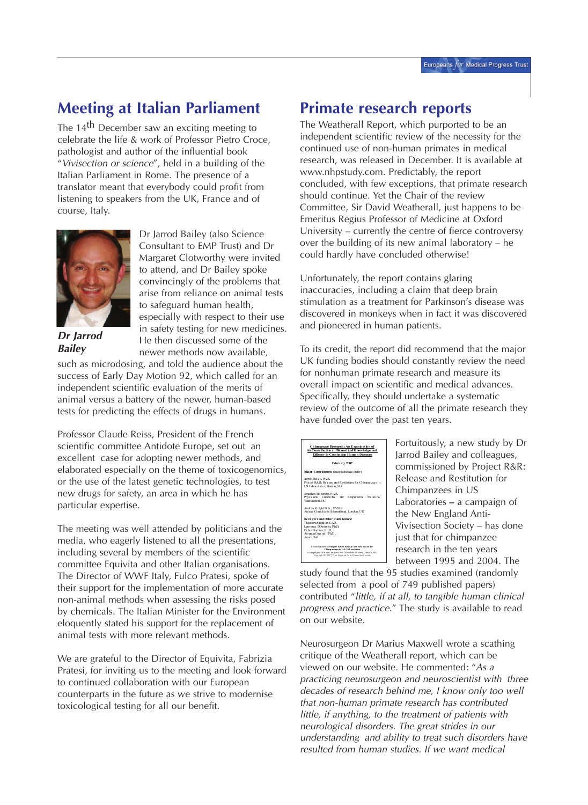## **Meeting at Italian Parliament**

*The 14th December saw an exciting meeting to celebrate the life & work of Professor Pietro Croce, pathologist and author of the influential book "Vivisection or science", held in a building of the Italian Parliament in Rome. The presence of a translator meant that everybody could profit from listening to speakers from the UK, France and of course, Italy.* 



**Dr Jarrod Bailey**

*Dr Jarrod Bailey (also Science Consultant to EMP Trust) and Dr Margaret Clotworthy were invited to attend, and Dr Bailey spoke convincingly of the problems that arise from reliance on animal tests to safeguard human health, especially with respect to their use in safety testing for new medicines. He then discussed some of the newer methods now available,*

*such as microdosing, and told the audience about the success of Early Day Motion 92, which called for an independent scientific evaluation of the merits of animal versus a battery of the newer, human-based tests for predicting the effects of drugs in humans.*

*Professor Claude Reiss, President of the French scientific committee Antidote Europe, set out an excellent case for adopting newer methods, and elaborated especially on the theme of toxicogenomics, or the use of the latest genetic technologies, to test new drugs for safety, an area in which he has particular expertise.*

*The meeting was well attended by politicians and the media, who eagerly listened to all the presentations, including several by members of the scientific committee Equivita and other Italian organisations. The Director of WWF Italy, Fulco Pratesi, spoke of their support for the implementation of more accurate non-animal methods when assessing the risks posed by chemicals. The Italian Minister for the Environment eloquently stated his support for the replacement of animal tests with more relevant methods.*

*We are grateful to the Director of Equivita, Fabrizia Pratesi, for inviting us to the meeting and look forward to continued collaboration with our European counterparts in the future as we strive to modernise toxicological testing for all our benefit.*

## **Primate research reports**

*The Weatherall Report, which purported to be an independent scientific review of the necessity for the continued use of non-human primates in medical research, was released in December. It is available at www.nhpstudy.com. Predictably, the report concluded, with few exceptions, that primate research should continue. Yet the Chair of the review Committee, Sir David Weatherall, just happens to be Emeritus Regius Professor of Medicine at Oxford University – currently the centre of fierce controversy over the building of its new animal laboratory – he could hardly have concluded otherwise!*

*Unfortunately, the report contains glaring inaccuracies, including a claim that deep brain stimulation as a treatment for Parkinson's disease was discovered in monkeys when in fact it was discovered and pioneered in human patients.* 

*To its credit, the report did recommend that the major UK funding bodies should constantly review the need for nonhuman primate research and measure its overall impact on scientific and medical advances. Specifically, they should undertake a systematic review of the outcome of all the primate research they have funded over the past ten years.*

| Chimpanzee Research: An Examination of<br>its Contribution to Biomedical Knowledge and<br><b>Efficacy in Combating Human Diseases</b>                                                                                           |
|---------------------------------------------------------------------------------------------------------------------------------------------------------------------------------------------------------------------------------|
| February 2007                                                                                                                                                                                                                   |
| Maior Contributors: (in alphabetical order)                                                                                                                                                                                     |
| Jarrod Bailey, Ph.D.<br>Project R&R: Release and Restitution for Chimmazees in<br>US Laboratories, Boston, MA                                                                                                                   |
| Jonathan Balcombe, Ph.D.<br>Physicians Committee for<br>Responsible<br>Medicine.<br>Washington, DC                                                                                                                              |
| Andrew Knight B.Sc., BVMS<br>Animal Consultants International, London, UK                                                                                                                                                       |
| <b>Reviewers and Other Contributors:</b><br>Theodora Capaldo, Ed.D.<br>Lawrence D'Antonio, Ph.D.<br>Debra Durham, Ph.D.<br>Amanda Greenall, Ph.D.<br>Annie Hall                                                                 |
| Commissioned by Project R& R: Release and Restitution for<br>Chimpanzers in U.S. Laboratories<br>a campaign of the New England Anti-Vivince tion Society, Boston, MA<br>Conveight © 2007. New England Anti-Visitee fon Society. |

*Fortuitously, a new study by Dr Jarrod Bailey and colleagues, commissioned by Project R&R: Release and Restitution for Chimpanzees in US Laboratories* **–** *a campaign of the New England Anti-Vivisection Society – has done just that for chimpanzee research in the ten years between 1995 and 2004. The*

*study found that the 95 studies examined (randomly selected from a pool of 749 published papers) contributed "little, if at all, to tangible human clinical progress and practice." The study is available to read on our website.*

*Neurosurgeon Dr Marius Maxwell wrote a scathing critique of the Weatherall report, which can be viewed on our website. He commented: "As a practicing neurosurgeon and neuroscientist with three decades of research behind me, I know only too well that non-human primate research has contributed little, if anything, to the treatment of patients with neurological disorders. The great strides in our understanding and ability to treat such disorders have resulted from human studies. If we want medical*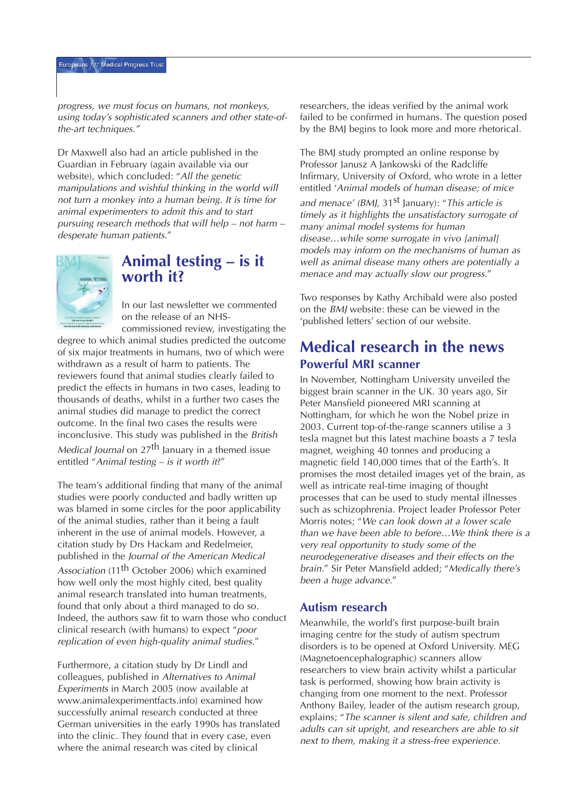*progress, we must focus on humans, not monkeys, using today's sophisticated scanners and other state-ofthe-art techniques."*

*Dr Maxwell also had an article published in the Guardian in February (again available via our website), which concluded: "All the genetic manipulations and wishful thinking in the world will not turn a monkey into a human being. It is time for animal experimenters to admit this and to start pursuing research methods that will help – not harm – desperate human patients."*



## **Animal testing – is it worth it?**

*In our last newsletter we commented on the release of an NHS-*

*commissioned review, investigating the degree to which animal studies predicted the outcome of six major treatments in humans, two of which were withdrawn as a result of harm to patients. The reviewers found that animal studies clearly failed to predict the effects in humans in two cases, leading to thousands of deaths, whilst in a further two cases the animal studies did manage to predict the correct outcome. In the final two cases the results were inconclusive. This study was published in the British Medical Journal on 27th January in a themed issue entitled "Animal testing – is it worth it?"*

*The team's additional finding that many of the animal studies were poorly conducted and badly written up was blamed in some circles for the poor applicability of the animal studies, rather than it being a fault inherent in the use of animal models. However, a citation study by Drs Hackam and Redelmeier, published in the Journal of the American Medical Association (11th October 2006) which examined how well only the most highly cited, best quality animal research translated into human treatments, found that only about a third managed to do so. Indeed, the authors saw fit to warn those who conduct clinical research (with humans) to expect "poor replication of even high-quality animal studies."*

*Furthermore, a citation study by Dr Lindl and colleagues, published in Alternatives to Animal Experiments in March 2005 (now available at www.animalexperimentfacts.info) examined how successfully animal research conducted at three German universities in the early 1990s has translated into the clinic. They found that in every case, even where the animal research was cited by clinical*

*researchers, the ideas verified by the animal work failed to be confirmed in humans. The question posed by the BMJ begins to look more and more rhetorical.* 

*The BMJ study prompted an online response by Professor Janusz A Jankowski of the Radcliffe Infirmary, University of Oxford, who wrote in a letter entitled 'Animal models of human disease; of mice and menace' (BMJ, 31st January): "This article is timely as it highlights the unsatisfactory surrogate of many animal model systems for human disease…while some surrogate in vivo [animal] models may inform on the mechanisms of human as well as animal disease many others are potentially a menace and may actually slow our progress."*

*Two responses by Kathy Archibald were also posted on the BMJ website: these can be viewed in the 'published letters' section of our website.*

## **Medical research in the news Powerful MRI scanner**

*In November, Nottingham University unveiled the biggest brain scanner in the UK. 30 years ago, Sir Peter Mansfield pioneered MRI scanning at Nottingham, for which he won the Nobel prize in 2003. Current top-of-the-range scanners utilise a 3 tesla magnet but this latest machine boasts a 7 tesla magnet, weighing 40 tonnes and producing a magnetic field 140,000 times that of the Earth's. It promises the most detailed images yet of the brain, as well as intricate real-time imaging of thought processes that can be used to study mental illnesses such as schizophrenia. Project leader Professor Peter Morris notes; "We can look down at a lower scale than we have been able to before…We think there is a very real opportunity to study some of the neurodegenerative diseases and their effects on the brain." Sir Peter Mansfield added; "Medically there's been a huge advance."*

#### **Autism research**

*Meanwhile, the world's first purpose-built brain imaging centre for the study of autism spectrum disorders is to be opened at Oxford University. MEG (Magnetoencephalographic) scanners allow researchers to view brain activity whilst a particular task is performed, showing how brain activity is changing from one moment to the next. Professor Anthony Bailey, leader of the autism research group, explains; "The scanner is silent and safe, children and adults can sit upright, and researchers are able to sit next to them, making it a stress-free experience.*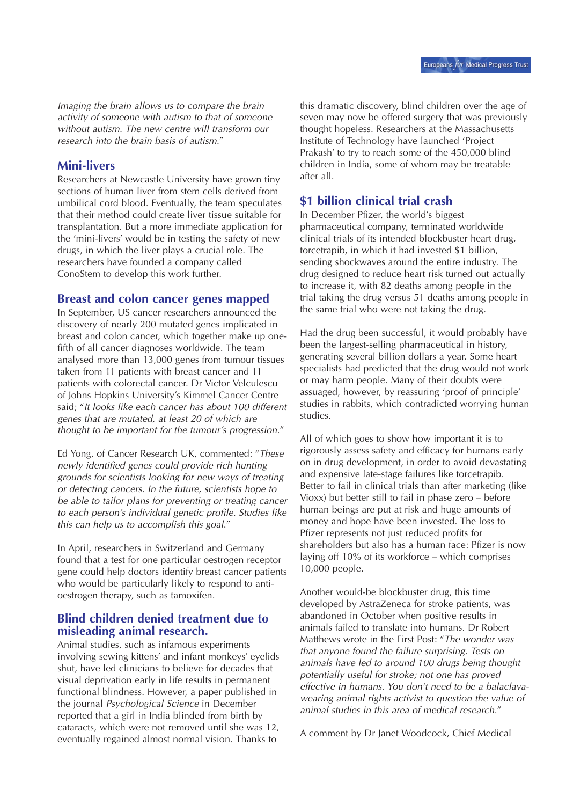*Imaging the brain allows us to compare the brain activity of someone with autism to that of someone without autism. The new centre will transform our research into the brain basis of autism."*

#### **Mini-livers**

*Researchers at Newcastle University have grown tiny sections of human liver from stem cells derived from umbilical cord blood. Eventually, the team speculates that their method could create liver tissue suitable for transplantation. But a more immediate application for the 'mini-livers' would be in testing the safety of new drugs, in which the liver plays a crucial role. The researchers have founded a company called ConoStem to develop this work further.*

#### **Breast and colon cancer genes mapped**

*In September, US cancer researchers announced the discovery of nearly 200 mutated genes implicated in breast and colon cancer, which together make up onefifth of all cancer diagnoses worldwide. The team analysed more than 13,000 genes from tumour tissues taken from 11 patients with breast cancer and 11 patients with colorectal cancer. Dr Victor Velculescu of Johns Hopkins University's Kimmel Cancer Centre said; "It looks like each cancer has about 100 different genes that are mutated, at least 20 of which are thought to be important for the tumour's progression."*

*Ed Yong, of Cancer Research UK, commented: "These newly identified genes could provide rich hunting grounds for scientists looking for new ways of treating or detecting cancers. In the future, scientists hope to be able to tailor plans for preventing or treating cancer to each person's individual genetic profile. Studies like this can help us to accomplish this goal."*

*In April, researchers in Switzerland and Germany found that a test for one particular oestrogen receptor gene could help doctors identify breast cancer patients who would be particularly likely to respond to antioestrogen therapy, such as tamoxifen.*

#### **Blind children denied treatment due to misleading animal research.**

*Animal studies, such as infamous experiments involving sewing kittens' and infant monkeys' eyelids shut, have led clinicians to believe for decades that visual deprivation early in life results in permanent functional blindness. However, a paper published in the journal Psychological Science in December reported that a girl in India blinded from birth by cataracts, which were not removed until she was 12, eventually regained almost normal vision. Thanks to*

*this dramatic discovery, blind children over the age of seven may now be offered surgery that was previously thought hopeless. Researchers at the Massachusetts Institute of Technology have launched 'Project Prakash' to try to reach some of the 450,000 blind children in India, some of whom may be treatable after all.*

#### **\$1 billion clinical trial crash**

*In December Pfizer, the world's biggest pharmaceutical company, terminated worldwide clinical trials of its intended blockbuster heart drug, torcetrapib, in which it had invested \$1 billion, sending shockwaves around the entire industry. The drug designed to reduce heart risk turned out actually to increase it, with 82 deaths among people in the trial taking the drug versus 51 deaths among people in the same trial who were not taking the drug.* 

*Had the drug been successful, it would probably have been the largest-selling pharmaceutical in history, generating several billion dollars a year. Some heart specialists had predicted that the drug would not work or may harm people. Many of their doubts were assuaged, however, by reassuring 'proof of principle' studies in rabbits, which contradicted worrying human studies.*

*All of which goes to show how important it is to rigorously assess safety and efficacy for humans early on in drug development, in order to avoid devastating and expensive late-stage failures like torcetrapib. Better to fail in clinical trials than after marketing (like Vioxx) but better still to fail in phase zero – before human beings are put at risk and huge amounts of money and hope have been invested. The loss to Pfizer represents not just reduced profits for shareholders but also has a human face: Pfizer is now laying off 10% of its workforce – which comprises 10,000 people.*

*Another would-be blockbuster drug, this time developed by AstraZeneca for stroke patients, was abandoned in October when positive results in animals failed to translate into humans. Dr Robert Matthews wrote in the First Post: "The wonder was that anyone found the failure surprising. Tests on animals have led to around 100 drugs being thought potentially useful for stroke; not one has proved effective in humans. You don't need to be a balaclavawearing animal rights activist to question the value of animal studies in this area of medical research."*

*A comment by Dr Janet Woodcock, Chief Medical*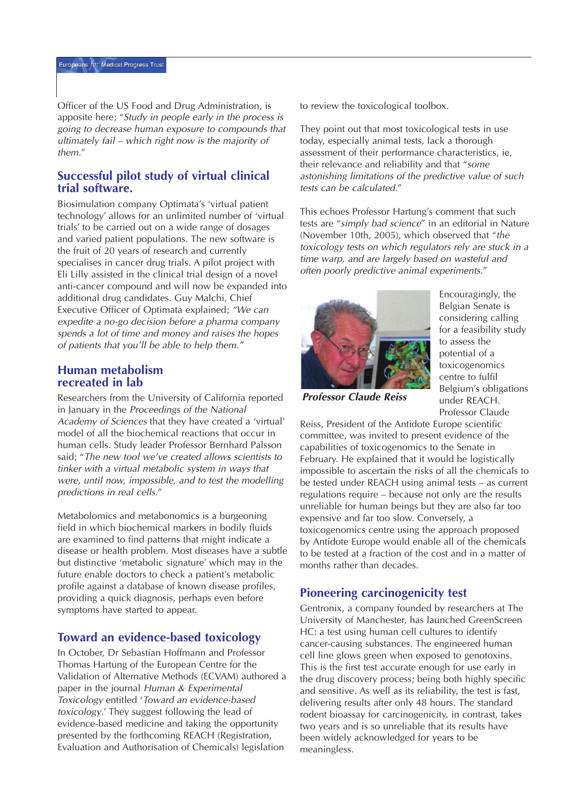*Officer of the US Food and Drug Administration, is apposite here; "Study in people early in the process is going to decrease human exposure to compounds that ultimately fail – which right now is the majority of them."*

#### **Successful pilot study of virtual clinical trial software.**

*Biosimulation company Optimata's 'virtual patient technology' allows for an unlimited number of 'virtual trials' to be carried out on a wide range of dosages and varied patient populations. The new software is the fruit of 20 years of research and currently specialises in cancer drug trials. A pilot project with Eli Lilly assisted in the clinical trial design of a novel anti-cancer compound and will now be expanded into additional drug candidates. Guy Malchi, Chief Executive Officer of Optimata explained; "We can expedite a no-go decision before a pharma company spends a lot of time and money and raises the hopes of patients that you'll be able to help them."*

#### **Human metabolism recreated in lab**

*Researchers from the University of California reported in January in the Proceedings of the National Academy of Sciences that they have created a 'virtual' model of all the biochemical reactions that occur in human cells. Study leader Professor Bernhard Palsson said; "The new tool we've created allows scientists to tinker with a virtual metabolic system in ways that were, until now, impossible, and to test the modelling predictions in real cells."*

*Metabolomics and metabonomics is a burgeoning field in which biochemical markers in bodily fluids are examined to find patterns that might indicate a disease or health problem. Most diseases have a subtle but distinctive 'metabolic signature' which may in the future enable doctors to check a patient's metabolic profile against a database of known disease profiles, providing a quick diagnosis, perhaps even before symptoms have started to appear.*

#### **Toward an evidence-based toxicology**

*In October, Dr Sebastian Hoffmann and Professor Thomas Hartung of the European Centre for the Validation of Alternative Methods (ECVAM) authored a paper in the journal Human & Experimental Toxicology entitled 'Toward an evidence-based toxicology.' They suggest following the lead of evidence-based medicine and taking the opportunity presented by the forthcoming REACH (Registration, Evaluation and Authorisation of Chemicals) legislation*

*to review the toxicological toolbox.* 

*They point out that most toxicological tests in use today, especially animal tests, lack a thorough assessment of their performance characteristics, ie, their relevance and reliability and that "some astonishing limitations of the predictive value of such tests can be calculated."*

*This echoes Professor Hartung's comment that such tests are "simply bad science" in an editorial in Nature (November 10th, 2005), which observed that "the toxicology tests on which regulators rely are stuck in a time warp, and are largely based on wasteful and often poorly predictive animal experiments."*



*Encouragingly, the Belgian Senate is considering calling for a feasibility study to assess the potential of a toxicogenomics centre to fulfil Belgium's obligations under REACH. Professor Claude*

**Professor Claude Reiss**

*Reiss, President of the Antidote Europe scientific committee, was invited to present evidence of the capabilities of toxicogenomics to the Senate in February. He explained that it would be logistically impossible to ascertain the risks of all the chemicals to be tested under REACH using animal tests – as current regulations require – because not only are the results unreliable for human beings but they are also far too expensive and far too slow. Conversely, a toxicogenomics centre using the approach proposed by Antidote Europe would enable all of the chemicals to be tested at a fraction of the cost and in a matter of months rather than decades.*

#### **Pioneering carcinogenicity test**

*Gentronix, a company founded by researchers at The University of Manchester, has launched GreenScreen HC: a test using human cell cultures to identify cancer-causing substances. The engineered human cell line glows green when exposed to genotoxins. This is the first test accurate enough for use early in the drug discovery process; being both highly specific and sensitive. As well as its reliability, the test is fast, delivering results after only 48 hours. The standard rodent bioassay for carcinogenicity, in contrast, takes two years and is so unreliable that its results have been widely acknowledged for years to be meaningless.*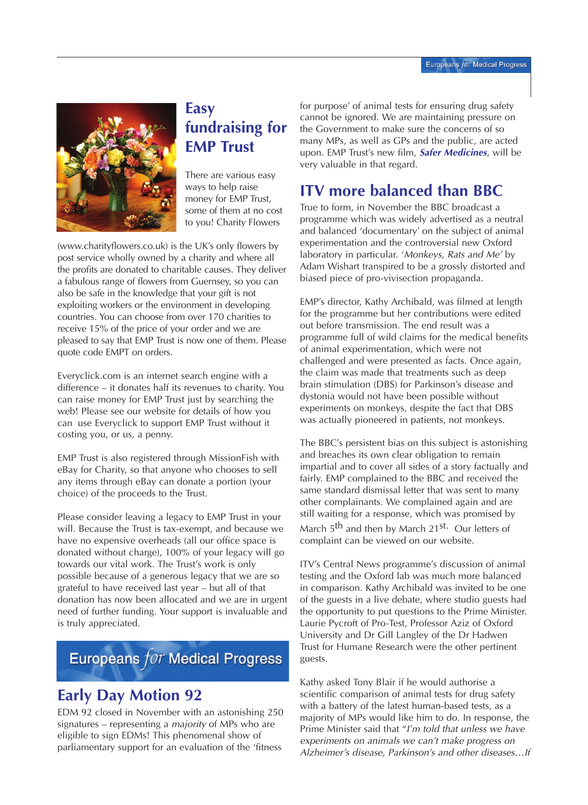

# **Easy fundraising for EMP Trust**

*There are various easy ways to help raise money for EMP Trust, some of them at no cost to you! Charity Flowers*

*(www.charityflowers.co.uk) is the UK's only flowers by post service wholly owned by a charity and where all the profits are donated to charitable causes. They deliver a fabulous range of flowers from Guernsey, so you can also be safe in the knowledge that your gift is not exploiting workers or the environment in developing countries. You can choose from over 170 charities to receive 15% of the price of your order and we are pleased to say that EMP Trust is now one of them. Please quote code EMPT on orders.* 

*Everyclick.com is an internet search engine with a difference – it donates half its revenues to charity. You can raise money for EMP Trust just by searching the web! Please see our website for details of how you can use Everyclick to support EMP Trust without it costing you, or us, a penny.*

*EMP Trust is also registered through MissionFish with eBay for Charity, so that anyone who chooses to sell any items through eBay can donate a portion (your choice) of the proceeds to the Trust.* 

*Please consider leaving a legacy to EMP Trust in your will. Because the Trust is tax-exempt, and because we have no expensive overheads (all our office space is donated without charge), 100% of your legacy will go towards our vital work. The Trust's work is only possible because of a generous legacy that we are so grateful to have received last year – but all of that donation has now been allocated and we are in urgent need of further funding. Your support is invaluable and is truly appreciated.* 

# Europeans for Medical Progress

# **Early Day Motion 92**

*EDM 92 closed in November with an astonishing 250 signatures – representing a majority of MPs who are eligible to sign EDMs! This phenomenal show of parliamentary support for an evaluation of the 'fitness*

*for purpose' of animal tests for ensuring drug safety cannot be ignored. We are maintaining pressure on the Government to make sure the concerns of so many MPs, as well as GPs and the public, are acted upon. EMP Trust's new film,* **Safer Medicines***, will be very valuable in that regard.*

# **ITV more balanced than BBC**

*True to form, in November the BBC broadcast a programme which was widely advertised as a neutral and balanced 'documentary' on the subject of animal experimentation and the controversial new Oxford laboratory in particular. 'Monkeys, Rats and Me' by Adam Wishart transpired to be a grossly distorted and biased piece of pro-vivisection propaganda.* 

*EMP's director, Kathy Archibald, was filmed at length for the programme but her contributions were edited out before transmission. The end result was a programme full of wild claims for the medical benefits of animal experimentation, which were not challenged and were presented as facts. Once again, the claim was made that treatments such as deep brain stimulation (DBS) for Parkinson's disease and dystonia would not have been possible without experiments on monkeys, despite the fact that DBS was actually pioneered in patients, not monkeys.*

*The BBC's persistent bias on this subject is astonishing and breaches its own clear obligation to remain impartial and to cover all sides of a story factually and fairly. EMP complained to the BBC and received the same standard dismissal letter that was sent to many other complainants. We complained again and are still waiting for a response, which was promised by March 5th and then by March 21st. Our letters of complaint can be viewed on our website.*

*ITV's Central News programme's discussion of animal testing and the Oxford lab was much more balanced in comparison. Kathy Archibald was invited to be one of the guests in a live debate, where studio guests had the opportunity to put questions to the Prime Minister. Laurie Pycroft of Pro-Test, Professor Aziz of Oxford University and Dr Gill Langley of the Dr Hadwen Trust for Humane Research were the other pertinent guests.* 

*Kathy asked Tony Blair if he would authorise a scientific comparison of animal tests for drug safety with a battery of the latest human-based tests, as a majority of MPs would like him to do. In response, the Prime Minister said that "I'm told that unless we have experiments on animals we can't make progress on Alzheimer's disease, Parkinson's and other diseases…If*